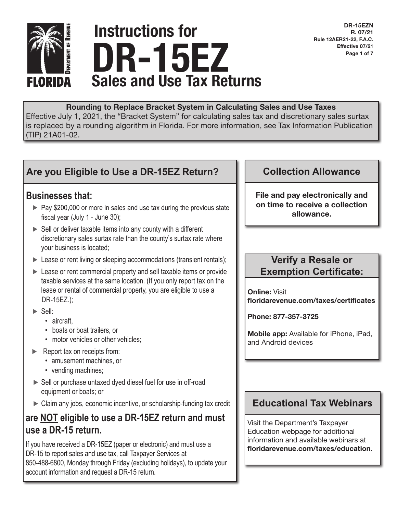

# Sales and Use Tax Returns Instructions for DR-15EZ

DR-15EZN R. 07/21 Rule 12AER21-22, F.A.C. Effective 07/21 Page 1 of 7

#### Rounding to Replace Bracket System in Calculating Sales and Use Taxes

Effective July 1, 2021, the "Bracket System" for calculating sales tax and discretionary sales surtax is replaced by a rounding algorithm in Florida. For more information, see Tax Information Publication (TIP) 21A01-02.

# **Are you Eligible to Use a DR-15EZ Return?**

## **Businesses that:**

- ► Pay \$200,000 or more in sales and use tax during the previous state fiscal year (July 1 - June 30);
- ► Sell or deliver taxable items into any county with a different discretionary sales surtax rate than the county's surtax rate where your business is located;
- ► Lease or rent living or sleeping accommodations (transient rentals);
- ► Lease or rent commercial property and sell taxable items or provide taxable services at the same location. (If you only report tax on the lease or rental of commercial property, you are eligible to use a DR-15EZ.);
- ► Sell:
	- aircraft,
	- boats or boat trailers, or
	- motor vehicles or other vehicles;
- ► Report tax on receipts from:
	- amusement machines, or
	- vending machines;
- ► Sell or purchase untaxed dyed diesel fuel for use in off-road equipment or boats; or
- ► Claim any jobs, economic incentive, or scholarship-funding tax credit

# **are NOT eligible to use a DR-15EZ return and must use a DR-15 return.**

If you have received a DR-15EZ (paper or electronic) and must use a DR-15 to report sales and use tax, call Taxpayer Services at 850-488-6800, Monday through Friday (excluding holidays), to update your account information and request a DR-15 return.

## **Collection Allowance**

File and pay electronically and on time to receive a collection allowance.

## **Verify a Resale or Exemption Certificate:**

Online: Visit floridarevenue.com/taxes/certificates

Phone: 877-357-3725

Mobile app: Available for iPhone, iPad, and Android devices

## **Educational Tax Webinars**

Visit the Department's Taxpayer Education webpage for additional information and available webinars at floridarevenue.com/taxes/education.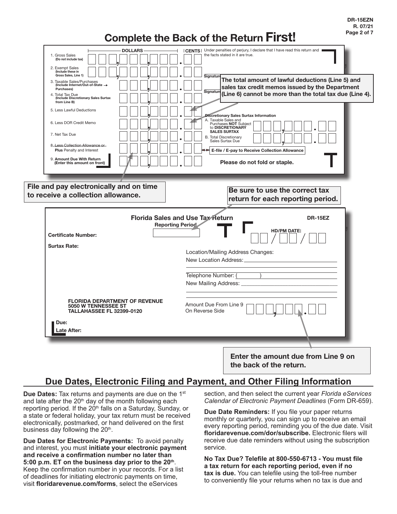DR-15EZN R. 07/21 Page 2 of 7

# Complete the Back of the Return First!

| <b>DOLLARS</b><br>1. Gross Sales<br>(Do not include tax)<br>2. Exempt Sales<br>(Include these in                                                                                                                           | CENTS   Under penalties of perjury, I declare that I have read this return and<br>the facts stated in it are true.                                                                                                                                                         |
|----------------------------------------------------------------------------------------------------------------------------------------------------------------------------------------------------------------------------|----------------------------------------------------------------------------------------------------------------------------------------------------------------------------------------------------------------------------------------------------------------------------|
| Gross Sales, Line 1)<br>3. Taxable Sales/Purchases<br>(Include Internet/Out-of-State →<br>Purchases)<br>4. Total Tax Due<br>(Include Discretionary Sales Surtax                                                            | Signatur<br>The total amount of lawful deductions (Line 5) and<br>sales tax credit memos issued by the Department<br>Signatur<br>(Line 6) cannot be more than the total tax due (Line 4).                                                                                  |
| from Line B)<br>5. Less Lawful Deductions<br>6. Less DOR Credit Memo<br>7. Net Tax Due<br>8. Less Collection Allowance or<br><b>Plus</b> Penalty and Interest<br>9. Amount Due With Return<br>(Enter this amount on front) | Discretionary Sales Surtax Information<br>A. Taxable Sales and<br>Purchases NOT Subject<br>to DISCRETIONARY<br><b>SALES SURTAX</b><br><b>B.</b> Total Discretionary<br>Sales Surtax Due<br>E-file / E-pay to Receive Collection Allowance<br>Please do not fold or staple. |
| File and pay electronically and on time<br>to receive a collection allowance.                                                                                                                                              | Be sure to use the correct tax<br>return for each reporting period.                                                                                                                                                                                                        |
| <b>Certificate Number:</b>                                                                                                                                                                                                 | <b>Florida Sales and Use Tax Return</b><br><b>DR-15EZ</b><br><b>Reporting Period</b><br><b>HD/PM DATE:</b>                                                                                                                                                                 |
| <b>Surtax Rate:</b>                                                                                                                                                                                                        | Location/Mailing Address Changes:                                                                                                                                                                                                                                          |
|                                                                                                                                                                                                                            | New Location Address:                                                                                                                                                                                                                                                      |
|                                                                                                                                                                                                                            | Telephone Number: (<br>New Mailing Address: _                                                                                                                                                                                                                              |
| <b>FLORIDA DEPARTMENT OF REVENUE</b><br>5050 W TENNESSEE ST<br><b>TALLAHASSEE FL 32399-0120</b>                                                                                                                            | Amount Due From Line 9<br>On Reverse Side                                                                                                                                                                                                                                  |
| Due:<br><b>Late After:</b>                                                                                                                                                                                                 |                                                                                                                                                                                                                                                                            |

the back of the return.

## **Due Dates, Electronic Filing and Payment, and Other Filing Information**

**Due Dates:** Tax returns and payments are due on the 1<sup>st</sup> and late after the  $20<sup>th</sup>$  day of the month following each reporting period. If the 20<sup>th</sup> falls on a Saturday, Sunday, or a state or federal holiday, your tax return must be received electronically, postmarked, or hand delivered on the first business day following the  $20<sup>th</sup>$ .

**Due Dates for Electronic Payments:** To avoid penalty and interest, you must **initiate your electronic payment and receive a confirmation number no later than 5:00 p.m. ET on the business day prior to the 20th**. Keep the confirmation number in your records. For a list of deadlines for initiating electronic payments on time, visit **floridarevenue.com/forms**, select the eServices

section, and then select the current year *Florida eServices Calendar of Electronic Payment Deadlines* (Form DR-659).

**Due Date Reminders:** If you file your paper returns monthly or quarterly, you can sign up to receive an email every reporting period, reminding you of the due date. Visit **floridarevenue.com/dor/subscribe.** Electronic filers will receive due date reminders without using the subscription service.

**No Tax Due? Telefile at 800-550-6713 - You must file a tax return for each reporting period, even if no tax is due.** You can telefile using the toll-free number to conveniently file your returns when no tax is due and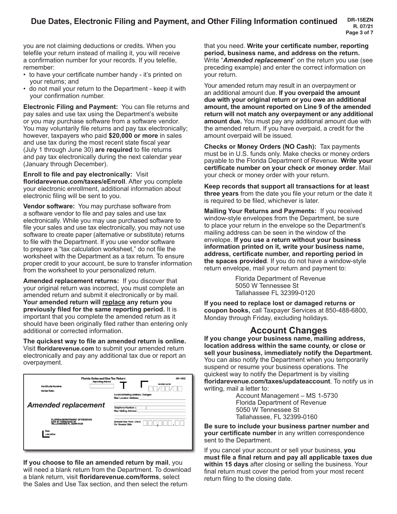you are not claiming deductions or credits. When you telefile your return instead of mailing it, you will receive a confirmation number for your records. If you telefile, remember:

- to have your certificate number handy it's printed on your returns; and
- do not mail your return to the Department keep it with your confirmation number.

**Electronic Filing and Payment:** You can file returns and pay sales and use tax using the Department's website or you may purchase software from a software vendor. You may voluntarily file returns and pay tax electronically; however, taxpayers who paid **\$20,000 or more** in sales and use tax during the most recent state fiscal year (July 1 through June 30) **are required** to file returns and pay tax electronically during the next calendar year (January through December).

**Enroll to file and pay electronically:** Visit **floridarevenue.com/taxes/eEnroll**. After you complete your electronic enrollment, additional information about electronic filing will be sent to you.

**Vendor software:** You may purchase software from a software vendor to file and pay sales and use tax electronically. While you may use purchased software to file your sales and use tax electronically, you may not use software to create paper (alternative or substitute) returns to file with the Department. If you use vendor software to prepare a "tax calculation worksheet," do not file the worksheet with the Department as a tax return. To ensure proper credit to your account, be sure to transfer information from the worksheet to your personalized return.

**Amended replacement returns:** If you discover that your original return was incorrect, you must complete an amended return and submit it electronically or by mail. **Your amended return will replace any return you previously filed for the same reporting period.** It is important that you complete the amended return as it should have been originally filed rather than entering only additional or corrected information.

**The quickest way to file an amended return is online.** Visit **floridarevenue.com** to submit your amended return electronically and pay any additional tax due or report an overpayment.

| Florida Sales and Use Tax Return<br><b>Reporting Period</b>                                            | <b>DR-15EZ</b>                                             |
|--------------------------------------------------------------------------------------------------------|------------------------------------------------------------|
| Certificate Number:                                                                                    | <b>HO/PM DATE:</b>                                         |
| <b>Surtax Rate:</b>                                                                                    | Location/Mailing Address Changes:<br>New Location Address: |
| <b>Amended replacement</b>                                                                             | Telephone Number: (<br>New Mailing Address:                |
| <b>FLORIDA DEPARTMENT OF REVENUE</b><br><b>5050 W TENNESSEE ST</b><br><b>TALLAHASSEE FL 32399-0120</b> | Amount Due From Line 9<br>On Reverse Side                  |
| <b>Due</b><br>Late After:                                                                              |                                                            |
|                                                                                                        |                                                            |

**If you choose to file an amended return by mail**, you will need a blank return from the Department. To download a blank return, visit **floridarevenue.com/forms**, select the Sales and Use Tax section, and then select the return

that you need. **Write your certificate number, reporting period, business name, and address on the return.** Write "*Amended replacement*" on the return you use (see preceding example) and enter the correct information on your return.

Your amended return may result in an overpayment or an additional amount due. **If you overpaid the amount due with your original return or you owe an additional amount, the amount reported on Line 9 of the amended return will not match any overpayment or any additional amount due.** You must pay any additional amount due with the amended return. If you have overpaid, a credit for the amount overpaid will be issued.

**Checks or Money Orders (NO Cash):** Tax payments must be in U.S. funds only. Make checks or money orders payable to the Florida Department of Revenue. **Write your certificate number on your check or money order**. Mail your check or money order with your return.

**Keep records that support all transactions for at least three years** from the date you file your return or the date it is required to be filed, whichever is later.

**Mailing Your Returns and Payments:** If you received window-style envelopes from the Department, be sure to place your return in the envelope so the Department's mailing address can be seen in the window of the envelope. **If you use a return without your business information printed on it, write your business name, address, certificate number, and reporting period in the spaces provided**. If you do not have a window-style return envelope, mail your return and payment to:

> Florida Department of Revenue 5050 W Tennessee St Tallahassee FL 32399-0120

**If you need to replace lost or damaged returns or coupon books,** call Taxpayer Services at 850-488-6800, Monday through Friday, excluding holidays.

#### **Account Changes**

**If you change your business name, mailing address, location address within the same county, or close or sell your business, immediately notify the Department.** You can also notify the Department when you temporarily suspend or resume your business operations. The quickest way to notify the Department is by visiting **floridarevenue.com/taxes/updateaccount**. To notify us in writing, mail a letter to:

Account Management – MS 1-5730 Florida Department of Revenue 5050 W Tennessee St Tallahassee, FL 32399-0160

**Be sure to include your business partner number and your certificate number** in any written correspondence sent to the Department.

If you cancel your account or sell your business, **you must file a final return and pay all applicable taxes due within 15 days** after closing or selling the business. Your final return must cover the period from your most recent return filing to the closing date.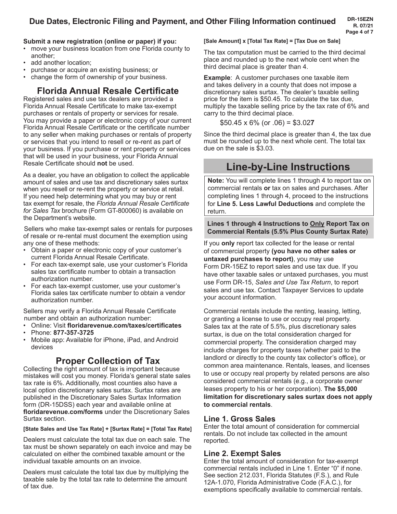#### **Submit a new registration (online or paper) if you:**

- move your business location from one Florida county to another;
- add another location;
- purchase or acquire an existing business; or
- change the form of ownership of your business.

# **Florida Annual Resale Certificate**

Registered sales and use tax dealers are provided a Florida Annual Resale Certificate to make tax-exempt purchases or rentals of property or services for resale. You may provide a paper or electronic copy of your current Florida Annual Resale Certificate or the certificate number to any seller when making purchases or rentals of property or services that you intend to resell or re-rent as part of your business. If you purchase or rent property or services that will be used in your business, your Florida Annual Resale Certificate should **not** be used.

As a dealer, you have an obligation to collect the applicable amount of sales and use tax and discretionary sales surtax when you resell or re-rent the property or service at retail. If you need help determining what you may buy or rent tax exempt for resale, the *Florida Annual Resale Certificate for Sales Tax* brochure (Form GT-800060) is available on the Department's website.

Sellers who make tax-exempt sales or rentals for purposes of resale or re-rental must document the exemption using any one of these methods:

- Obtain a paper or electronic copy of your customer's current Florida Annual Resale Certificate.
- For each tax-exempt sale, use your customer's Florida sales tax certificate number to obtain a transaction authorization number.
- For each tax-exempt customer, use your customer's Florida sales tax certificate number to obtain a vendor authorization number.

Sellers may verify a Florida Annual Resale Certificate number and obtain an authorization number:

- Online: Visit **floridarevenue.com/taxes/certificates**
- Phone: **877-357-3725**
- Mobile app: Available for iPhone, iPad, and Android devices

# **Proper Collection of Tax**

Collecting the right amount of tax is important because mistakes will cost you money. Florida's general state sales tax rate is 6%. Additionally, most counties also have a local option discretionary sales surtax. Surtax rates are published in the Discretionary Sales Surtax Information form (DR-15DSS) each year and available online at **floridarevenue.com/forms** under the Discretionary Sales Surtax section.

#### **[State Sales and Use Tax Rate] + [Surtax Rate] = [Total Tax Rate]**

Dealers must calculate the total tax due on each sale. The tax must be shown separately on each invoice and may be calculated on either the combined taxable amount or the individual taxable amounts on an invoice.

Dealers must calculate the total tax due by multiplying the taxable sale by the total tax rate to determine the amount of tax due.

## **[Sale Amount] x [Total Tax Rate] = [Tax Due on Sale]**

The tax computation must be carried to the third decimal place and rounded up to the next whole cent when the third decimal place is greater than 4.

**Example**: A customer purchases one taxable item and takes delivery in a county that does not impose a discretionary sales surtax. The dealer's taxable selling price for the item is \$50.45. To calculate the tax due, multiply the taxable selling price by the tax rate of 6% and carry to the third decimal place.

$$
$50.45 \times 6\% \text{ (or } .06) = $3.027
$$

Since the third decimal place is greater than 4, the tax due must be rounded up to the next whole cent. The total tax due on the sale is \$3.03.

# **Line-by-Line Instructions**

**Note:** You will complete lines 1 through 4 to report tax on commercial rentals **or** tax on sales and purchases. After completing lines 1 through 4, proceed to the instructions for **Line 5. Less Lawful Deductions** and complete the return.

#### **Lines 1 through 4 Instructions to Only Report Tax on Commercial Rentals (5.5% Plus County Surtax Rate)**

If you **only** report tax collected for the lease or rental of commercial property **(you have no other sales or untaxed purchases to report)**, you may use Form DR-15EZ to report sales and use tax due. If you have other taxable sales or untaxed purchases, you must use Form DR-15, *Sales and Use Tax Return*, to report sales and use tax. Contact Taxpayer Services to update your account information.

Commercial rentals include the renting, leasing, letting, or granting a license to use or occupy real property. Sales tax at the rate of 5.5%, plus discretionary sales surtax, is due on the total consideration charged for commercial property. The consideration charged may include charges for property taxes (whether paid to the landlord or directly to the county tax collector's office), or common area maintenance. Rentals, leases, and licenses to use or occupy real property by related persons are also considered commercial rentals (e.g., a corporate owner leases property to his or her corporation). **The \$5,000 limitation for discretionary sales surtax does not apply to commercial rentals**.

## **Line 1. Gross Sales**

Enter the total amount of consideration for commercial rentals. Do not include tax collected in the amount reported.

## **Line 2. Exempt Sales**

Enter the total amount of consideration for tax-exempt commercial rentals included in Line 1. Enter "0" if none. See section 212.031, Florida Statutes (F.S.), and Rule 12A-1.070, Florida Administrative Code (F.A.C.), for exemptions specifically available to commercial rentals.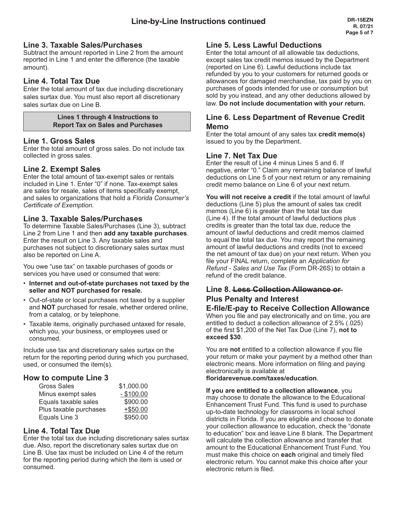#### **Line 3. Taxable Sales/Purchases**

Subtract the amount reported in Line 2 from the amount reported in Line 1 and enter the difference (the taxable amount).

#### **Line 4. Total Tax Due**

Enter the total amount of tax due including discretionary sales surtax due. You must also report all discretionary sales surtax due on Line B.

> **Lines 1 through 4 Instructions to Report Tax on Sales and Purchases**

#### **Line 1. Gross Sales**

Enter the total amount of gross sales. Do not include tax collected in gross sales.

#### **Line 2. Exempt Sales**

Enter the total amount of tax-exempt sales or rentals included in Line 1. Enter "0" if none. Tax-exempt sales are sales for resale, sales of items specifically exempt, and sales to organizations that hold a *Florida Consumer's Certificate of Exemption.*

#### **Line 3. Taxable Sales/Purchases**

To determine Taxable Sales/Purchases (Line 3), subtract Line 2 from Line 1 and then **add any taxable purchases**. Enter the result on Line 3. Any taxable sales and purchases not subject to discretionary sales surtax must also be reported on Line A.

You owe "use tax" on taxable purchases of goods or services you have used or consumed that were:

- **Internet and out-of-state purchases not taxed by the seller and NOT purchased for resale.**
- Out-of-state or local purchases not taxed by a supplier and **NOT** purchased for resale, whether ordered online, from a catalog, or by telephone.
- Taxable items, originally purchased untaxed for resale, which you, your business, or employees used or consumed.

Include use tax and discretionary sales surtax on the return for the reporting period during which you purchased, used, or consumed the item(s).

#### **How to compute Line 3**

| <b>Gross Sales</b>     | \$1,000.00   |
|------------------------|--------------|
| Minus exempt sales     | $-$ \$100.00 |
| Equals taxable sales   | \$900.00     |
| Plus taxable purchases | $+$ \$50.00  |
| Equals Line 3          | \$950.00     |

#### **Line 4. Total Tax Due**

Enter the total tax due including discretionary sales surtax due. Also, report the discretionary sales surtax due on Line B. Use tax must be included on Line 4 of the return for the reporting period during which the item is used or consumed.

#### **Line 5. Less Lawful Deductions**

Enter the total amount of all allowable tax deductions, except sales tax credit memos issued by the Department (reported on Line 6). Lawful deductions include tax refunded by you to your customers for returned goods or allowances for damaged merchandise, tax paid by you on purchases of goods intended for use or consumption but sold by you instead, and any other deductions allowed by law. **Do not include documentation with your return.**

#### **Line 6. Less Department of Revenue Credit Memo**

Enter the total amount of any sales tax **credit memo(s)** issued to you by the Department.

#### **Line 7. Net Tax Due**

Enter the result of Line 4 minus Lines 5 and 6. If negative, enter "0." Claim any remaining balance of lawful deductions on Line 5 of your next return or any remaining credit memo balance on Line 6 of your next return.

**You will not receive a credit** if the total amount of lawful deductions (Line 5) plus the amount of sales tax credit memos (Line 6) is greater than the total tax due (Line 4). If the total amount of lawful deductions plus credits is greater than the total tax due, reduce the amount of lawful deductions and credit memos claimed to equal the total tax due. You may report the remaining amount of lawful deductions and credits (not to exceed the net amount of tax due) on your next return. When you file your FINAL return, complete an *Application for Refund - Sales and Use Tax* (Form DR-26S) to obtain a refund of the credit balance.

#### **Line 8. Less Collection Allowance or Plus Penalty and Interest**

#### **E-file/E-pay to Receive Collection Allowance**  When you file and pay electronically and on time, you are entitled to deduct a collection allowance of 2.5% (.025) of the first \$1,200 of the Net Tax Due (Line 7), **not to exceed \$30**.

You are **not** entitled to a collection allowance if you file your return or make your payment by a method other than electronic means. More information on filing and paying electronically is available at

**floridarevenue.com/taxes/education**.

**If you are entitled to a collection allowance**, you may choose to donate the allowance to the Educational Enhancement Trust Fund. This fund is used to purchase up-to-date technology for classrooms in local school districts in Florida. If you are eligible and choose to donate your collection allowance to education, check the "donate to education" box and leave Line 8 blank. The Department will calculate the collection allowance and transfer that amount to the Educational Enhancement Trust Fund. You must make this choice on **each** original and timely filed electronic return. You cannot make this choice after your electronic return is filed.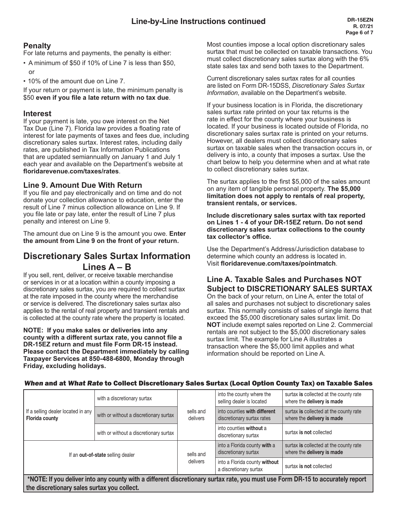#### **Penalty**

For late returns and payments, the penalty is either:

- A minimum of \$50 if 10% of Line 7 is less than \$50, or
- 10% of the amount due on Line 7.

If your return or payment is late, the minimum penalty is \$50 **even if you file a late return with no tax due**.

#### **Interest**

If your payment is late, you owe interest on the Net Tax Due (Line 7). Florida law provides a floating rate of interest for late payments of taxes and fees due, including discretionary sales surtax. Interest rates, including daily rates, are published in Tax Information Publications that are updated semiannually on January 1 and July 1 each year and available on the Department's website at **floridarevenue.com/taxes/rates**.

#### **Line 9. Amount Due With Return**

If you file and pay electronically and on time and do not donate your collection allowance to education, enter the result of Line 7 minus collection allowance on Line 9. If you file late or pay late, enter the result of Line 7 plus penalty and interest on Line 9.

The amount due on Line 9 is the amount you owe. **Enter the amount from Line 9 on the front of your return.**

## **Discretionary Sales Surtax Information Lines A – B**

If you sell, rent, deliver, or receive taxable merchandise or services in or at a location within a county imposing a discretionary sales surtax, you are required to collect surtax at the rate imposed in the county where the merchandise or service is delivered. The discretionary sales surtax also applies to the rental of real property and transient rentals and is collected at the county rate where the property is located.

**NOTE: If you make sales or deliveries into any county with a different surtax rate, you cannot file a DR-15EZ return and must file Form DR-15 instead. Please contact the Department immediately by calling Taxpayer Services at 850-488-6800, Monday through Friday, excluding holidays.**

Most counties impose a local option discretionary sales surtax that must be collected on taxable transactions. You must collect discretionary sales surtax along with the 6% state sales tax and send both taxes to the Department.

Current discretionary sales surtax rates for all counties are listed on Form DR-15DSS, *Discretionary Sales Surtax Information*, available on the Department's website.

If your business location is in Florida, the discretionary sales surtax rate printed on your tax returns is the rate in effect for the county where your business is located. If your business is located outside of Florida, no discretionary sales surtax rate is printed on your returns. However, all dealers must collect discretionary sales surtax on taxable sales when the transaction occurs in, or delivery is into, a county that imposes a surtax. Use the chart below to help you determine when and at what rate to collect discretionary sales surtax.

The surtax applies to the first \$5,000 of the sales amount on any item of tangible personal property. **The \$5,000 limitation does not apply to rentals of real property, transient rentals, or services.**

**Include discretionary sales surtax with tax reported on Lines 1 - 4 of your DR-15EZ return. Do not send discretionary sales surtax collections to the county tax collector's office.**

Use the Department's Address/Jurisdiction database to determine which county an address is located in. Visit **floridarevenue.com/taxes/pointmatch**.

## **Line A. Taxable Sales and Purchases NOT Subject to DISCRETIONARY SALES SURTAX**

On the back of your return, on Line A, enter the total of all sales and purchases not subject to discretionary sales surtax. This normally consists of sales of single items that exceed the \$5,000 discretionary sales surtax limit. Do **NOT** include exempt sales reported on Line 2. Commercial rentals are not subject to the \$5,000 discretionary sales surtax limit. The example for Line A illustrates a transaction where the \$5,000 limit applies and what information should be reported on Line A.

| If a selling dealer located in any<br><b>Florida county</b>                                                                    | with a discretionary surtax            | sells and<br>delivers | into the county where the<br>selling dealer is located     | surtax is collected at the county rate<br>where the delivery is made |
|--------------------------------------------------------------------------------------------------------------------------------|----------------------------------------|-----------------------|------------------------------------------------------------|----------------------------------------------------------------------|
|                                                                                                                                | with or without a discretionary surtax |                       | into counties with different<br>discretionary surtax rates | surtax is collected at the county rate<br>where the delivery is made |
|                                                                                                                                | with or without a discretionary surtax |                       | into counties without a<br>discretionary surtax            | surtax is not collected                                              |
| If an out-of-state selling dealer                                                                                              |                                        | sells and<br>delivers | into a Florida county with a<br>discretionary surtax       | surtax is collected at the county rate<br>where the delivery is made |
|                                                                                                                                |                                        |                       | into a Florida county without<br>a discretionary surtax    | surtax is not collected                                              |
| *NOTE: If you deliver into any county with a different discretionary surtay rate, you must use Form DR-15 to accurately report |                                        |                       |                                                            |                                                                      |

#### When and at What Rate to Collect Discretionary Sales Surtax (Local Option County Tax) on Taxable Sales

\*NOTE: If you deliver into any county with a different discretionary surtax rate, you must use Form DR-15 to accurately report the discretionary sales surtax you collect.